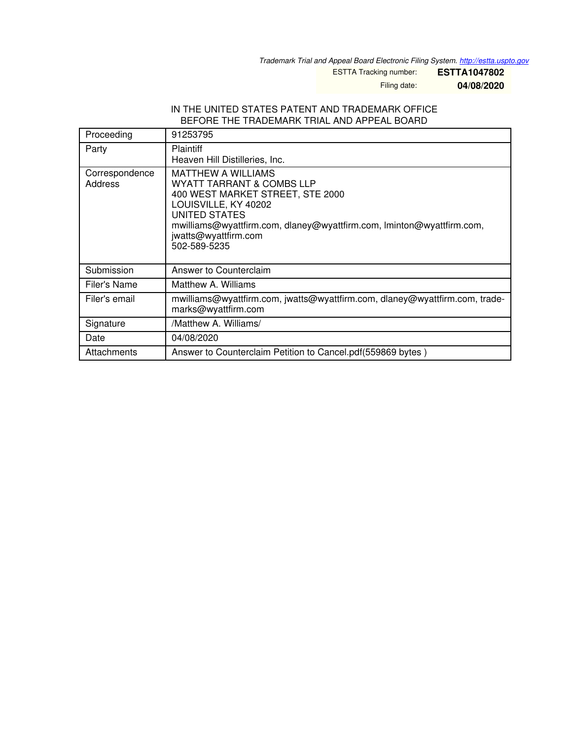*Trademark Trial and Appeal Board Electronic Filing System. <http://estta.uspto.gov>*

ESTTA Tracking number: **ESTTA1047802**

Filing date: **04/08/2020**

### IN THE UNITED STATES PATENT AND TRADEMARK OFFICE BEFORE THE TRADEMARK TRIAL AND APPEAL BOARD

| Proceeding                | 91253795                                                                                                                                                                                                                                             |  |
|---------------------------|------------------------------------------------------------------------------------------------------------------------------------------------------------------------------------------------------------------------------------------------------|--|
| Party                     | <b>Plaintiff</b><br>Heaven Hill Distilleries, Inc.                                                                                                                                                                                                   |  |
| Correspondence<br>Address | <b>MATTHEW A WILLIAMS</b><br>WYATT TARRANT & COMBS LLP<br>400 WEST MARKET STREET, STE 2000<br>LOUISVILLE, KY 40202<br>UNITED STATES<br>mwilliams@wyattfirm.com, dlaney@wyattfirm.com, Iminton@wyattfirm.com,<br>jwatts@wyattfirm.com<br>502-589-5235 |  |
| Submission                | Answer to Counterclaim                                                                                                                                                                                                                               |  |
| Filer's Name              | Matthew A. Williams                                                                                                                                                                                                                                  |  |
| Filer's email             | mwilliams@wyattfirm.com, jwatts@wyattfirm.com, dlaney@wyattfirm.com, trade-<br>marks@wyattfirm.com                                                                                                                                                   |  |
| Signature                 | /Matthew A. Williams/                                                                                                                                                                                                                                |  |
| Date                      | 04/08/2020                                                                                                                                                                                                                                           |  |
| Attachments               | Answer to Counterclaim Petition to Cancel.pdf(559869 bytes)                                                                                                                                                                                          |  |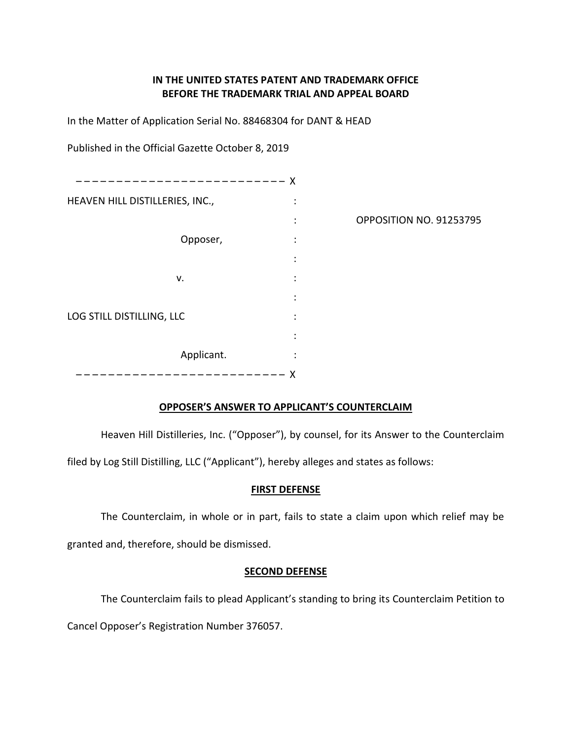# IN THE UNITED STATES PATENT AND TRADEMARK OFFICE BEFORE THE TRADEMARK TRIAL AND APPEAL BOARD

In the Matter of Application Serial No. 88468304 for DANT & HEAD

Published in the Official Gazette October 8, 2019

| $- - - - - -$                   | X                    |                         |
|---------------------------------|----------------------|-------------------------|
| HEAVEN HILL DISTILLERIES, INC., | ÷                    |                         |
|                                 | ÷                    | OPPOSITION NO. 91253795 |
| Opposer,                        | $\ddot{\cdot}$       |                         |
|                                 | ÷                    |                         |
| ۷.                              | $\ddot{\cdot}$       |                         |
|                                 | $\ddot{\phantom{a}}$ |                         |
| LOG STILL DISTILLING, LLC       | $\ddot{\cdot}$       |                         |
|                                 | $\ddot{\phantom{a}}$ |                         |
| Applicant.                      | ٠                    |                         |
|                                 | X                    |                         |

# OPPOSER'S ANSWER TO APPLICANT'S COUNTERCLAIM

Heaven Hill Distilleries, Inc. ("Opposer"), by counsel, for its Answer to the Counterclaim

filed by Log Still Distilling, LLC ("Applicant"), hereby alleges and states as follows:

### **FIRST DEFENSE**

The Counterclaim, in whole or in part, fails to state a claim upon which relief may be

granted and, therefore, should be dismissed.

## **SECOND DEFENSE**

The Counterclaim fails to plead Applicant's standing to bring its Counterclaim Petition to

Cancel Opposer's Registration Number 376057.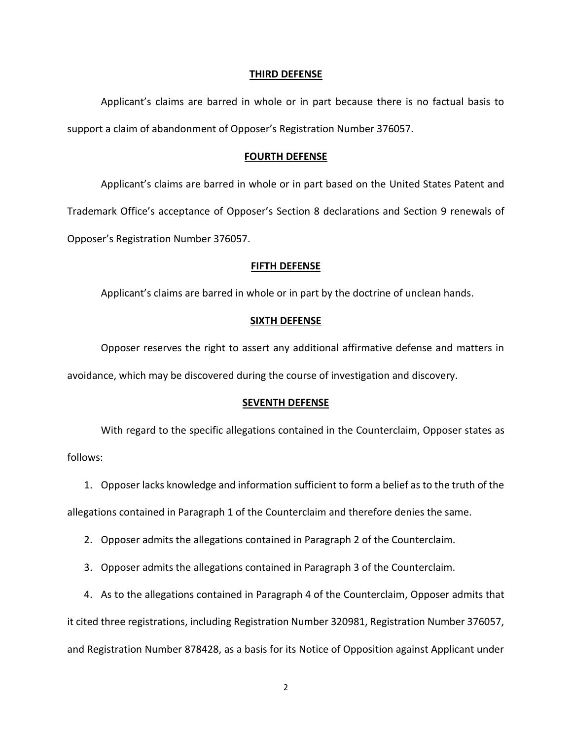#### THIRD DEFENSE

Applicant's claims are barred in whole or in part because there is no factual basis to support a claim of abandonment of Opposer's Registration Number 376057.

#### **FOURTH DEFENSE**

Applicant's claims are barred in whole or in part based on the United States Patent and Trademark Office's acceptance of Opposer's Section 8 declarations and Section 9 renewals of Opposer's Registration Number 376057.

### **FIFTH DEFENSE**

Applicant's claims are barred in whole or in part by the doctrine of unclean hands.

#### **SIXTH DEFENSE**

Opposer reserves the right to assert any additional affirmative defense and matters in avoidance, which may be discovered during the course of investigation and discovery.

#### **SEVENTH DEFENSE**

With regard to the specific allegations contained in the Counterclaim, Opposer states as follows:

1. Opposer lacks knowledge and information sufficient to form a belief as to the truth of the

allegations contained in Paragraph 1 of the Counterclaim and therefore denies the same.

2. Opposer admits the allegations contained in Paragraph 2 of the Counterclaim.

3. Opposer admits the allegations contained in Paragraph 3 of the Counterclaim.

4. As to the allegations contained in Paragraph 4 of the Counterclaim, Opposer admits that

it cited three registrations, including Registration Number 320981, Registration Number 376057,

and Registration Number 878428, as a basis for its Notice of Opposition against Applicant under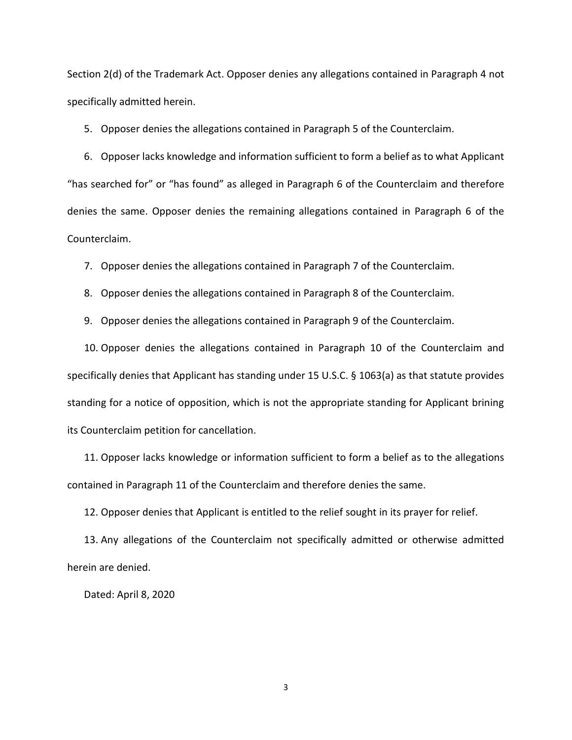Section 2(d) of the Trademark Act. Opposer denies any allegations contained in Paragraph 4 not specifically admitted herein.

5. Opposer denies the allegations contained in Paragraph 5 of the Counterclaim.

6. Opposer lacks knowledge and information sufficient to form a belief as to what Applicant "has searched for" or "has found" as alleged in Paragraph 6 of the Counterclaim and therefore denies the same. Opposer denies the remaining allegations contained in Paragraph 6 of the Counterclaim.

7. Opposer denies the allegations contained in Paragraph 7 of the Counterclaim.

8. Opposer denies the allegations contained in Paragraph 8 of the Counterclaim.

9. Opposer denies the allegations contained in Paragraph 9 of the Counterclaim.

10. Opposer denies the allegations contained in Paragraph 10 of the Counterclaim and specifically denies that Applicant has standing under 15 U.S.C. § 1063(a) as that statute provides standing for a notice of opposition, which is not the appropriate standing for Applicant brining its Counterclaim petition for cancellation.

11. Opposer lacks knowledge or information sufficient to form a belief as to the allegations contained in Paragraph 11 of the Counterclaim and therefore denies the same.

12. Opposer denies that Applicant is entitled to the relief sought in its prayer for relief.

13. Any allegations of the Counterclaim not specifically admitted or otherwise admitted herein are denied.

Dated: April 8, 2020

3